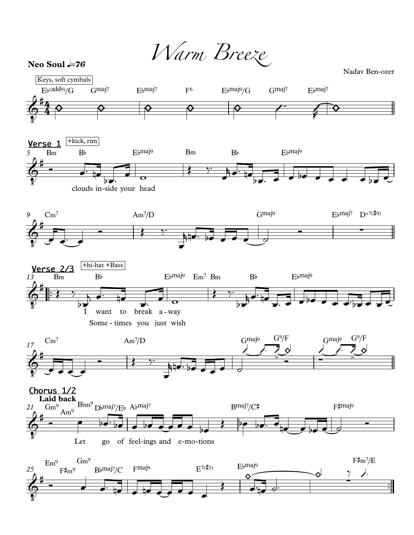Warm Breeze

Neo Soul  $=76$